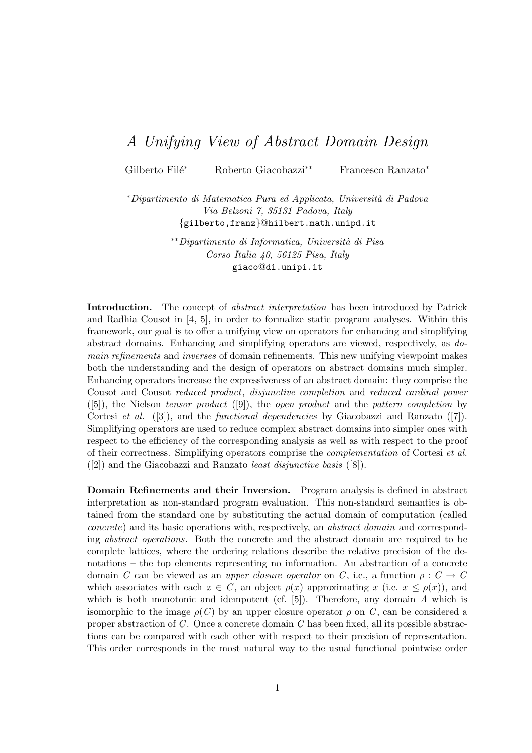## A Unifying View of Abstract Domain Design

Gilberto Filé<sup>∗</sup> Roberto Giacobazzi<sup>∗</sup>\* Francesco Ranzato<sup>\*</sup>

<sup>∗</sup>Dipartimento di Matematica Pura ed Applicata, Universit`a di Padova Via Belzoni 7, 35131 Padova, Italy {gilberto,franz}@hilbert.math.unipd.it

> ∗∗Dipartimento di Informatica, Universit`a di Pisa Corso Italia 40, 56125 Pisa, Italy giaco@di.unipi.it

Introduction. The concept of *abstract interpretation* has been introduced by Patrick and Radhia Cousot in [4, 5], in order to formalize static program analyses. Within this framework, our goal is to offer a unifying view on operators for enhancing and simplifying abstract domains. Enhancing and simplifying operators are viewed, respectively, as domain refinements and inverses of domain refinements. This new unifying viewpoint makes both the understanding and the design of operators on abstract domains much simpler. Enhancing operators increase the expressiveness of an abstract domain: they comprise the Cousot and Cousot reduced product, disjunctive completion and reduced cardinal power  $([5]),$  the Nielson tensor product  $([9]),$  the open product and the pattern completion by Cortesi *et al.* ([3]), and the *functional dependencies* by Giacobazzi and Ranzato ([7]). Simplifying operators are used to reduce complex abstract domains into simpler ones with respect to the efficiency of the corresponding analysis as well as with respect to the proof of their correctness. Simplifying operators comprise the complementation of Cortesi et al. ([2]) and the Giacobazzi and Ranzato least disjunctive basis ([8]).

Domain Refinements and their Inversion. Program analysis is defined in abstract interpretation as non-standard program evaluation. This non-standard semantics is obtained from the standard one by substituting the actual domain of computation (called concrete) and its basic operations with, respectively, an abstract domain and corresponding abstract operations. Both the concrete and the abstract domain are required to be complete lattices, where the ordering relations describe the relative precision of the denotations – the top elements representing no information. An abstraction of a concrete domain C can be viewed as an upper closure operator on C, i.e., a function  $\rho: C \to C$ which associates with each  $x \in C$ , an object  $\rho(x)$  approximating x (i.e.  $x \leq \rho(x)$ ), and which is both monotonic and idempotent (cf.  $[5]$ ). Therefore, any domain A which is isomorphic to the image  $\rho(C)$  by an upper closure operator  $\rho$  on C, can be considered a proper abstraction of  $C$ . Once a concrete domain  $C$  has been fixed, all its possible abstractions can be compared with each other with respect to their precision of representation. This order corresponds in the most natural way to the usual functional pointwise order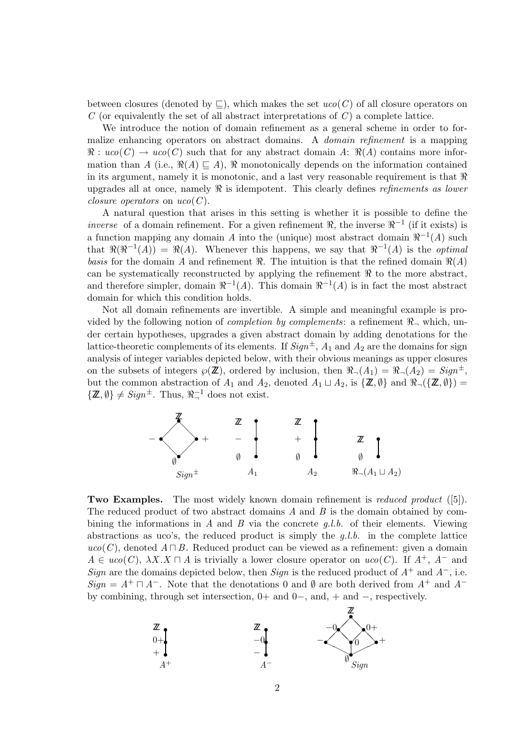between closures (denoted by  $\sqsubset$ ), which makes the set  $uco(C)$  of all closure operators on  $C$  (or equivalently the set of all abstract interpretations of  $C$ ) a complete lattice.

We introduce the notion of domain refinement as a general scheme in order to formalize enhancing operators on abstract domains. A *domain refinement* is a mapping  $\Re: uco(C) \to uco(C)$  such that for any abstract domain A:  $\Re(A)$  contains more information than A (i.e.,  $\Re(A) \sqsubseteq A$ ),  $\Re$  monotonically depends on the information contained in its argument, namely it is monotonic, and a last very reasonable requirement is that  $\Re$ upgrades all at once, namely  $\Re$  is idempotent. This clearly defines *refinements as lower closure operators* on  $uco(C)$ .

A natural question that arises in this setting is whether it is possible to define the *inverse* of a domain refinement. For a given refinement  $\Re$ , the inverse  $\Re^{-1}$  (if it exists) is a function mapping any domain A into the (unique) most abstract domain  $\Re^{-1}(A)$  such that  $\Re(\Re^{-1}(A)) = \Re(A)$ . Whenever this happens, we say that  $\Re^{-1}(A)$  is the *optimal* basis for the domain A and refinement  $\Re$ . The intuition is that the refined domain  $\Re(A)$ can be systematically reconstructed by applying the refinement  $\Re$  to the more abstract, and therefore simpler, domain  $\Re^{-1}(A)$ . This domain  $\Re^{-1}(A)$  is in fact the most abstract domain for which this condition holds.

Not all domain refinements are invertible. A simple and meaningful example is provided by the following notion of *completion by complements*: a refinement  $\Re$ , which, under certain hypotheses, upgrades a given abstract domain by adding denotations for the lattice-theoretic complements of its elements. If  $Sign^{\pm}$ ,  $A_1$  and  $A_2$  are the domains for sign analysis of integer variables depicted below, with their obvious meanings as upper closures on the subsets of integers  $\wp(\mathbb{Z})$ , ordered by inclusion, then  $\Re(\Lambda_1) = \Re(\Lambda_2) = \text{Sign}^{\pm}$ , but the common abstraction of  $A_1$  and  $A_2$ , denoted  $A_1 \sqcup A_2$ , is  $\{\mathbb{Z}, \emptyset\}$  and  $\Re_{\neg}(\{\mathbb{Z}, \emptyset\}) =$  $\{\mathbb{Z}, \emptyset\} \neq \text{Sign}^{\pm}$ . Thus,  $\Re^{-1}$  does not exist.



**Two Examples.** The most widely known domain refinement is *reduced product* ([5]). The reduced product of two abstract domains  $A$  and  $B$  is the domain obtained by combining the informations in A and B via the concrete  $q.l.b.$  of their elements. Viewing abstractions as uco's, the reduced product is simply the  $q.l.b.$  in the complete lattice  $uco(C)$ , denoted  $A \sqcap B$ . Reduced product can be viewed as a refinement: given a domain  $A \in uco(C)$ ,  $\lambda X.X \cap A$  is trivially a lower closure operator on  $uco(C)$ . If  $A^+, A^-$  and Sign are the domains depicted below, then Sign is the reduced product of  $A^+$  and  $A^-$ , i.e. Sign =  $A^+ \sqcap A^-$ . Note that the denotations 0 and  $\emptyset$  are both derived from  $A^+$  and  $A^$ by combining, through set intersection, 0+ and 0−, and, + and −, respectively.

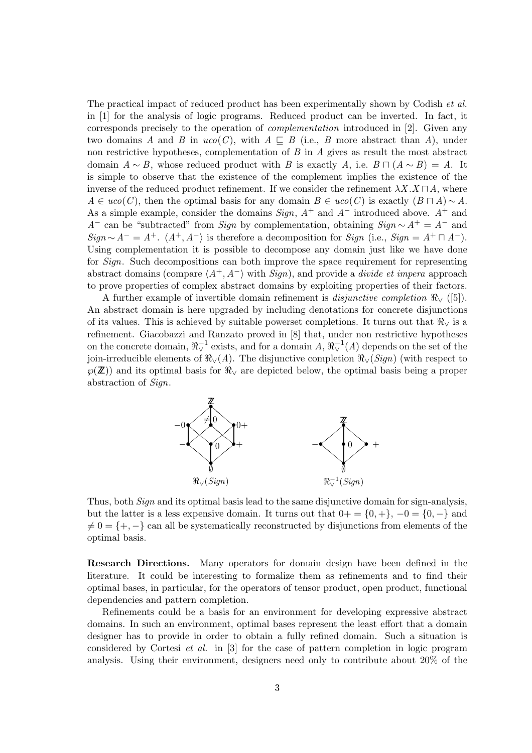The practical impact of reduced product has been experimentally shown by Codish *et al.* in [1] for the analysis of logic programs. Reduced product can be inverted. In fact, it corresponds precisely to the operation of complementation introduced in [2]. Given any two domains A and B in  $uco(C)$ , with  $A \subseteq B$  (i.e., B more abstract than A), under non restrictive hypotheses, complementation of  $B$  in  $A$  gives as result the most abstract domain  $A \sim B$ , whose reduced product with B is exactly A, i.e.  $B \cap (A \sim B) = A$ . It is simple to observe that the existence of the complement implies the existence of the inverse of the reduced product refinement. If we consider the refinement  $\lambda X.X \sqcap A$ , where  $A \in uco(C)$ , then the optimal basis for any domain  $B \in uco(C)$  is exactly  $(B \sqcap A) \sim A$ . As a simple example, consider the domains  $Sign$ ,  $A^+$  and  $A^-$  introduced above.  $A^+$  and A<sup>-</sup> can be "subtracted" from Sign by complementation, obtaining  $Sign \sim A^+ = A^-$  and  $Sign \sim A^{-} = A^{+}$ .  $\langle A^{+}, A^{-} \rangle$  is therefore a decomposition for  $Sign$  (i.e.,  $Sign = A^{+} \sqcap A^{-}$ ). Using complementation it is possible to decompose any domain just like we have done for *Sign*. Such decompositions can both improve the space requirement for representing abstract domains (compare  $\langle A^+, A^-\rangle$  with  $Sign$ ), and provide a *divide et impera* approach to prove properties of complex abstract domains by exploiting properties of their factors.

A further example of invertible domain refinement is *disjunctive completion*  $\Re(y)$  ([5]). An abstract domain is here upgraded by including denotations for concrete disjunctions of its values. This is achieved by suitable powerset completions. It turns out that  $\Re_{\vee}$  is a refinement. Giacobazzi and Ranzato proved in [8] that, under non restrictive hypotheses on the concrete domain,  $\Re^{-1}_\vee$  exists, and for a domain  $A$ ,  $\Re^{-1}_\vee(A)$  depends on the set of the join-irreducible elements of  $\Re(y)$  The disjunctive completion  $\Re(y)$  (with respect to  $\wp(\mathbb{Z})$  and its optimal basis for  $\Re$  are depicted below, the optimal basis being a proper abstraction of Sign.



Thus, both Sign and its optimal basis lead to the same disjunctive domain for sign-analysis, but the latter is a less expensive domain. It turns out that  $0+=\{0,+\}, -0=\{0, -\}$  and  $\neq 0 = \{+, -\}$  can all be systematically reconstructed by disjunctions from elements of the optimal basis.

Research Directions. Many operators for domain design have been defined in the literature. It could be interesting to formalize them as refinements and to find their optimal bases, in particular, for the operators of tensor product, open product, functional dependencies and pattern completion.

Refinements could be a basis for an environment for developing expressive abstract domains. In such an environment, optimal bases represent the least effort that a domain designer has to provide in order to obtain a fully refined domain. Such a situation is considered by Cortesi et al. in [3] for the case of pattern completion in logic program analysis. Using their environment, designers need only to contribute about 20% of the